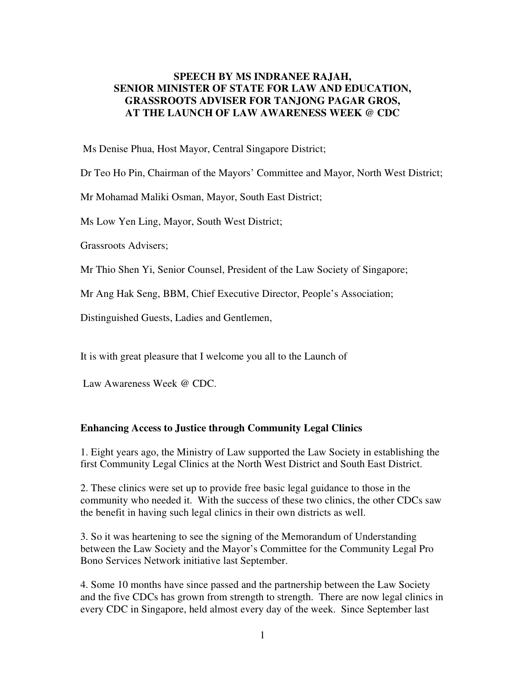## **SPEECH BY MS INDRANEE RAJAH, SENIOR MINISTER OF STATE FOR LAW AND EDUCATION, GRASSROOTS ADVISER FOR TANJONG PAGAR GROS, AT THE LAUNCH OF LAW AWARENESS WEEK @ CDC**

Ms Denise Phua, Host Mayor, Central Singapore District;

Dr Teo Ho Pin, Chairman of the Mayors' Committee and Mayor, North West District;

Mr Mohamad Maliki Osman, Mayor, South East District;

Ms Low Yen Ling, Mayor, South West District;

Grassroots Advisers;

Mr Thio Shen Yi, Senior Counsel, President of the Law Society of Singapore;

Mr Ang Hak Seng, BBM, Chief Executive Director, People's Association;

Distinguished Guests, Ladies and Gentlemen,

It is with great pleasure that I welcome you all to the Launch of

Law Awareness Week @ CDC.

## **Enhancing Access to Justice through Community Legal Clinics**

1. Eight years ago, the Ministry of Law supported the Law Society in establishing the first Community Legal Clinics at the North West District and South East District.

2. These clinics were set up to provide free basic legal guidance to those in the community who needed it. With the success of these two clinics, the other CDCs saw the benefit in having such legal clinics in their own districts as well.

3. So it was heartening to see the signing of the Memorandum of Understanding between the Law Society and the Mayor's Committee for the Community Legal Pro Bono Services Network initiative last September.

4. Some 10 months have since passed and the partnership between the Law Society and the five CDCs has grown from strength to strength. There are now legal clinics in every CDC in Singapore, held almost every day of the week. Since September last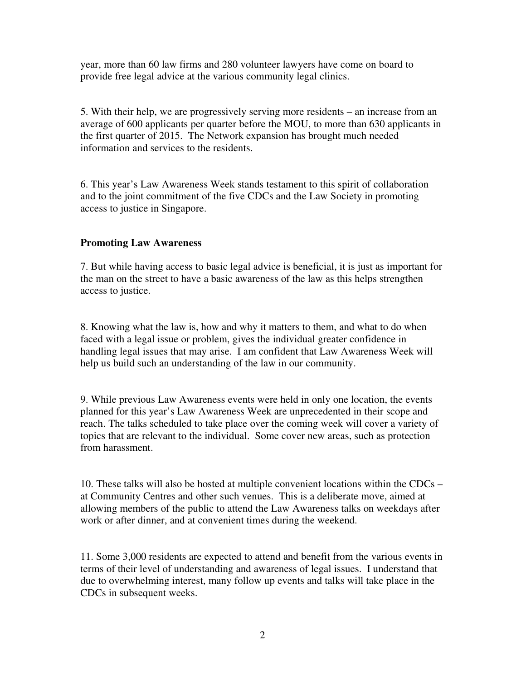year, more than 60 law firms and 280 volunteer lawyers have come on board to provide free legal advice at the various community legal clinics.

5. With their help, we are progressively serving more residents – an increase from an average of 600 applicants per quarter before the MOU, to more than 630 applicants in the first quarter of 2015. The Network expansion has brought much needed information and services to the residents.

6. This year's Law Awareness Week stands testament to this spirit of collaboration and to the joint commitment of the five CDCs and the Law Society in promoting access to justice in Singapore.

## **Promoting Law Awareness**

7. But while having access to basic legal advice is beneficial, it is just as important for the man on the street to have a basic awareness of the law as this helps strengthen access to justice.

8. Knowing what the law is, how and why it matters to them, and what to do when faced with a legal issue or problem, gives the individual greater confidence in handling legal issues that may arise. I am confident that Law Awareness Week will help us build such an understanding of the law in our community.

9. While previous Law Awareness events were held in only one location, the events planned for this year's Law Awareness Week are unprecedented in their scope and reach. The talks scheduled to take place over the coming week will cover a variety of topics that are relevant to the individual. Some cover new areas, such as protection from harassment.

10. These talks will also be hosted at multiple convenient locations within the CDCs – at Community Centres and other such venues. This is a deliberate move, aimed at allowing members of the public to attend the Law Awareness talks on weekdays after work or after dinner, and at convenient times during the weekend.

11. Some 3,000 residents are expected to attend and benefit from the various events in terms of their level of understanding and awareness of legal issues. I understand that due to overwhelming interest, many follow up events and talks will take place in the CDCs in subsequent weeks.